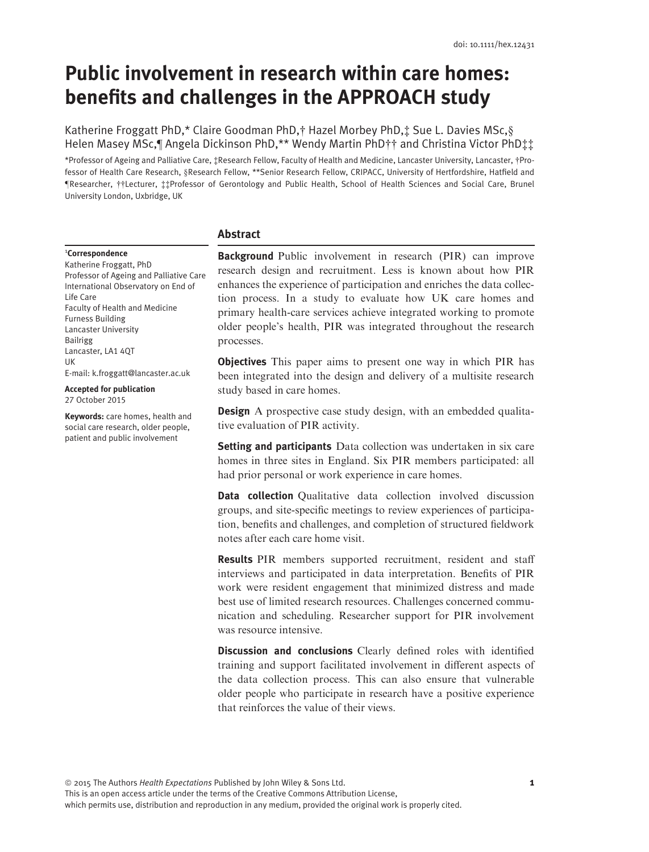# Public involvement in research within care homes: benefits and challenges in the APPROACH study

Katherine Froggatt PhD,\* Claire Goodman PhD,† Hazel Morbey PhD,‡ Sue L. Davies MSc,§ Helen Masey MSc,¶ Angela Dickinson PhD,\*\* Wendy Martin PhD†† and Christina Victor PhD‡‡

\*Professor of Ageing and Palliative Care, ‡Research Fellow, Faculty of Health and Medicine, Lancaster University, Lancaster, †Professor of Health Care Research, §Research Fellow, \*\*Senior Research Fellow, CRIPACC, University of Hertfordshire, Hatfield and –Researcher, ††Lecturer, ‡‡Professor of Gerontology and Public Health, School of Health Sciences and Social Care, Brunel University London, Uxbridge, UK

## Abstract

#### 1 Correspondence

Katherine Froggatt, PhD Professor of Ageing and Palliative Care International Observatory on End of Life Care Faculty of Health and Medicine Furness Building Lancaster University Bailrigg Lancaster, LA1 4QT UK E-mail: k.froggatt@lancaster.ac.uk

#### Accepted for publication 27 October 2015

Keywords: care homes, health and social care research, older people, patient and public involvement

Background Public involvement in research (PIR) can improve research design and recruitment. Less is known about how PIR enhances the experience of participation and enriches the data collection process. In a study to evaluate how UK care homes and primary health-care services achieve integrated working to promote older people's health, PIR was integrated throughout the research processes.

**Objectives** This paper aims to present one way in which PIR has been integrated into the design and delivery of a multisite research study based in care homes.

**Design** A prospective case study design, with an embedded qualitative evaluation of PIR activity.

**Setting and participants** Data collection was undertaken in six care homes in three sites in England. Six PIR members participated: all had prior personal or work experience in care homes.

**Data collection** Qualitative data collection involved discussion groups, and site-specific meetings to review experiences of participation, benefits and challenges, and completion of structured fieldwork notes after each care home visit.

Results PIR members supported recruitment, resident and staff interviews and participated in data interpretation. Benefits of PIR work were resident engagement that minimized distress and made best use of limited research resources. Challenges concerned communication and scheduling. Researcher support for PIR involvement was resource intensive.

Discussion and conclusions Clearly defined roles with identified training and support facilitated involvement in different aspects of the data collection process. This can also ensure that vulnerable older people who participate in research have a positive experience that reinforces the value of their views.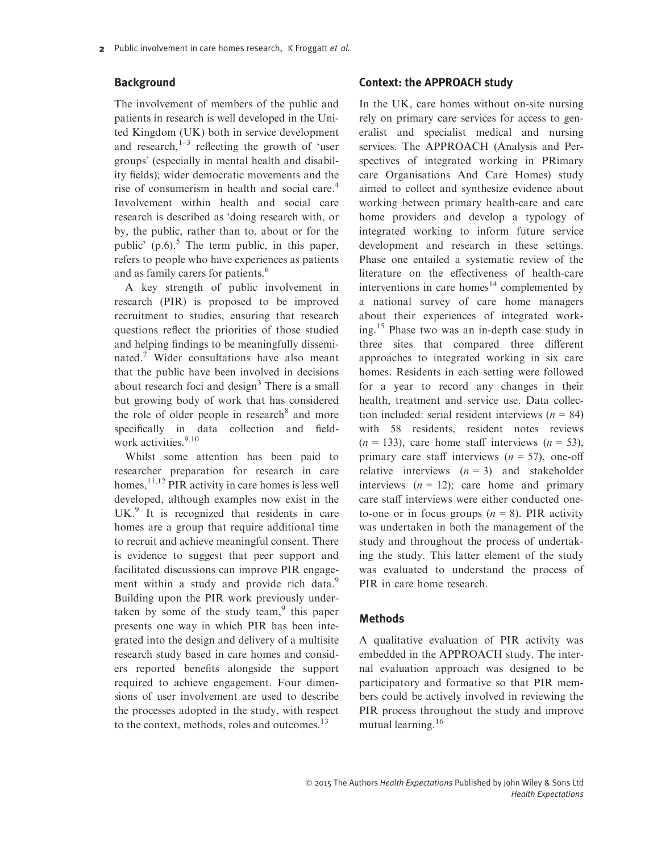# **Background**

The involvement of members of the public and patients in research is well developed in the United Kingdom (UK) both in service development and research, $1-3$  reflecting the growth of 'user groups' (especially in mental health and disability fields); wider democratic movements and the rise of consumerism in health and social care.<sup>4</sup> Involvement within health and social care research is described as 'doing research with, or by, the public, rather than to, about or for the public'  $(p.6)$ <sup>5</sup>. The term public, in this paper, refers to people who have experiences as patients and as family carers for patients.<sup>6</sup>

A key strength of public involvement in research (PIR) is proposed to be improved recruitment to studies, ensuring that research questions reflect the priorities of those studied and helping findings to be meaningfully disseminated.<sup>7</sup> Wider consultations have also meant that the public have been involved in decisions about research foci and design $3$  There is a small but growing body of work that has considered the role of older people in research $8$  and more specifically in data collection and fieldwork activities.<sup>9,10</sup>

Whilst some attention has been paid to researcher preparation for research in care homes,  $^{11,12}$  PIR activity in care homes is less well developed, although examples now exist in the  $UK.<sup>9</sup>$  It is recognized that residents in care homes are a group that require additional time to recruit and achieve meaningful consent. There is evidence to suggest that peer support and facilitated discussions can improve PIR engagement within a study and provide rich data.<sup>9</sup> Building upon the PIR work previously undertaken by some of the study team, $9$  this paper presents one way in which PIR has been integrated into the design and delivery of a multisite research study based in care homes and considers reported benefits alongside the support required to achieve engagement. Four dimensions of user involvement are used to describe the processes adopted in the study, with respect to the context, methods, roles and outcomes.<sup>13</sup>

# Context: the APPROACH study

In the UK, care homes without on-site nursing rely on primary care services for access to generalist and specialist medical and nursing services. The APPROACH (Analysis and Perspectives of integrated working in PRimary care Organisations And Care Homes) study aimed to collect and synthesize evidence about working between primary health-care and care home providers and develop a typology of integrated working to inform future service development and research in these settings. Phase one entailed a systematic review of the literature on the effectiveness of health-care interventions in care homes<sup>14</sup> complemented by a national survey of care home managers about their experiences of integrated working.<sup>15</sup> Phase two was an in-depth case study in three sites that compared three different approaches to integrated working in six care homes. Residents in each setting were followed for a year to record any changes in their health, treatment and service use. Data collection included: serial resident interviews  $(n = 84)$ with 58 residents, resident notes reviews  $(n = 133)$ , care home staff interviews  $(n = 53)$ , primary care staff interviews  $(n = 57)$ , one-off relative interviews  $(n = 3)$  and stakeholder interviews  $(n = 12)$ ; care home and primary care staff interviews were either conducted oneto-one or in focus groups  $(n = 8)$ . PIR activity was undertaken in both the management of the study and throughout the process of undertaking the study. This latter element of the study was evaluated to understand the process of PIR in care home research.

# Methods

A qualitative evaluation of PIR activity was embedded in the APPROACH study. The internal evaluation approach was designed to be participatory and formative so that PIR members could be actively involved in reviewing the PIR process throughout the study and improve mutual learning.<sup>16</sup>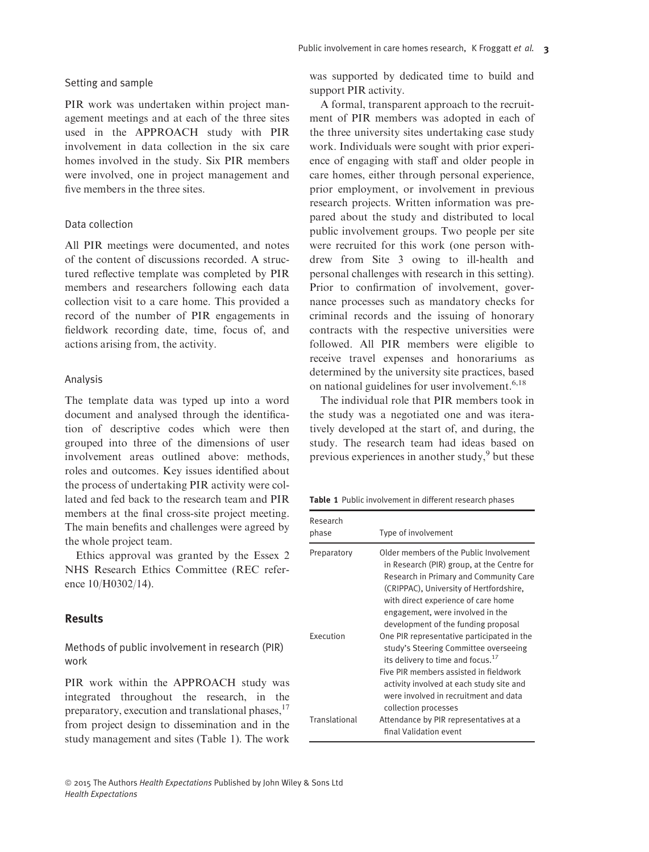# Setting and sample

PIR work was undertaken within project management meetings and at each of the three sites used in the APPROACH study with PIR involvement in data collection in the six care homes involved in the study. Six PIR members were involved, one in project management and five members in the three sites.

## Data collection

All PIR meetings were documented, and notes of the content of discussions recorded. A structured reflective template was completed by PIR members and researchers following each data collection visit to a care home. This provided a record of the number of PIR engagements in fieldwork recording date, time, focus of, and actions arising from, the activity.

#### Analysis

The template data was typed up into a word document and analysed through the identification of descriptive codes which were then grouped into three of the dimensions of user involvement areas outlined above: methods, roles and outcomes. Key issues identified about the process of undertaking PIR activity were collated and fed back to the research team and PIR members at the final cross-site project meeting. The main benefits and challenges were agreed by the whole project team.

Ethics approval was granted by the Essex 2 NHS Research Ethics Committee (REC reference 10/H0302/14).

# Results

Methods of public involvement in research (PIR) work

PIR work within the APPROACH study was integrated throughout the research, in the preparatory, execution and translational phases,  $17$ from project design to dissemination and in the study management and sites (Table 1). The work

was supported by dedicated time to build and support PIR activity.

A formal, transparent approach to the recruitment of PIR members was adopted in each of the three university sites undertaking case study work. Individuals were sought with prior experience of engaging with staff and older people in care homes, either through personal experience, prior employment, or involvement in previous research projects. Written information was prepared about the study and distributed to local public involvement groups. Two people per site were recruited for this work (one person withdrew from Site 3 owing to ill-health and personal challenges with research in this setting). Prior to confirmation of involvement, governance processes such as mandatory checks for criminal records and the issuing of honorary contracts with the respective universities were followed. All PIR members were eligible to receive travel expenses and honorariums as determined by the university site practices, based on national guidelines for user involvement.<sup>6,18</sup>

The individual role that PIR members took in the study was a negotiated one and was iteratively developed at the start of, and during, the study. The research team had ideas based on previous experiences in another study, $9$  but these

Table 1 Public involvement in different research phases

| Research<br>phase | Type of involvement                                                                                                                                                                                                                                                                          |
|-------------------|----------------------------------------------------------------------------------------------------------------------------------------------------------------------------------------------------------------------------------------------------------------------------------------------|
| Preparatory       | Older members of the Public Involvement<br>in Research (PIR) group, at the Centre for<br>Research in Primary and Community Care<br>(CRIPPAC), University of Hertfordshire,<br>with direct experience of care home<br>engagement, were involved in the<br>development of the funding proposal |
| Execution         | One PIR representative participated in the<br>study's Steering Committee overseeing<br>its delivery to time and focus. <sup>17</sup><br>Five PIR members assisted in fieldwork<br>activity involved at each study site and<br>were involved in recruitment and data<br>collection processes  |
| Translational     | Attendance by PIR representatives at a<br>final Validation event                                                                                                                                                                                                                             |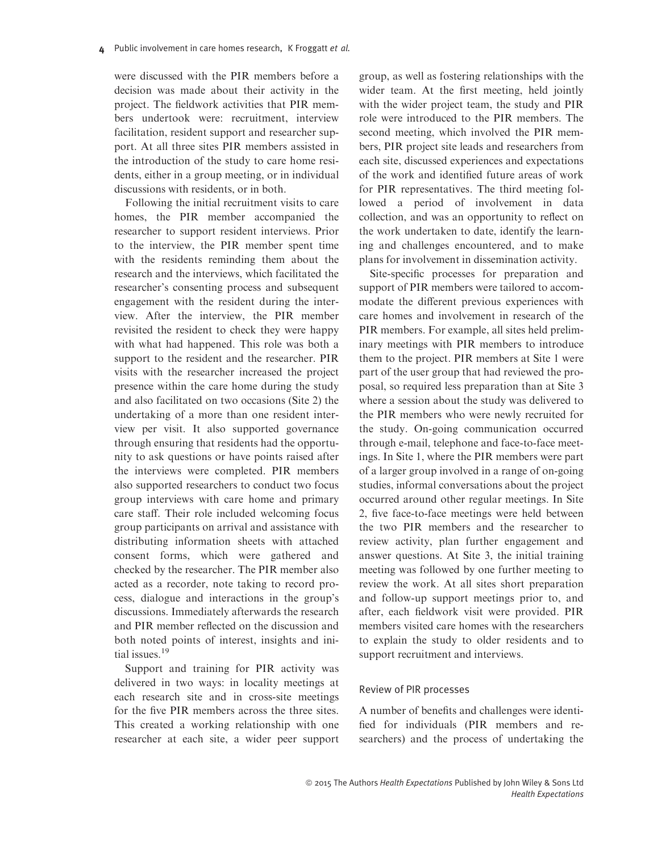were discussed with the PIR members before a decision was made about their activity in the project. The fieldwork activities that PIR members undertook were: recruitment, interview facilitation, resident support and researcher support. At all three sites PIR members assisted in the introduction of the study to care home residents, either in a group meeting, or in individual discussions with residents, or in both.

Following the initial recruitment visits to care homes, the PIR member accompanied the researcher to support resident interviews. Prior to the interview, the PIR member spent time with the residents reminding them about the research and the interviews, which facilitated the researcher's consenting process and subsequent engagement with the resident during the interview. After the interview, the PIR member revisited the resident to check they were happy with what had happened. This role was both a support to the resident and the researcher. PIR visits with the researcher increased the project presence within the care home during the study and also facilitated on two occasions (Site 2) the undertaking of a more than one resident interview per visit. It also supported governance through ensuring that residents had the opportunity to ask questions or have points raised after the interviews were completed. PIR members also supported researchers to conduct two focus group interviews with care home and primary care staff. Their role included welcoming focus group participants on arrival and assistance with distributing information sheets with attached consent forms, which were gathered and checked by the researcher. The PIR member also acted as a recorder, note taking to record process, dialogue and interactions in the group's discussions. Immediately afterwards the research and PIR member reflected on the discussion and both noted points of interest, insights and initial issues.19

Support and training for PIR activity was delivered in two ways: in locality meetings at each research site and in cross-site meetings for the five PIR members across the three sites. This created a working relationship with one researcher at each site, a wider peer support group, as well as fostering relationships with the wider team. At the first meeting, held jointly with the wider project team, the study and PIR role were introduced to the PIR members. The second meeting, which involved the PIR members, PIR project site leads and researchers from each site, discussed experiences and expectations of the work and identified future areas of work for PIR representatives. The third meeting followed a period of involvement in data collection, and was an opportunity to reflect on the work undertaken to date, identify the learning and challenges encountered, and to make plans for involvement in dissemination activity.

Site-specific processes for preparation and support of PIR members were tailored to accommodate the different previous experiences with care homes and involvement in research of the PIR members. For example, all sites held preliminary meetings with PIR members to introduce them to the project. PIR members at Site 1 were part of the user group that had reviewed the proposal, so required less preparation than at Site 3 where a session about the study was delivered to the PIR members who were newly recruited for the study. On-going communication occurred through e-mail, telephone and face-to-face meetings. In Site 1, where the PIR members were part of a larger group involved in a range of on-going studies, informal conversations about the project occurred around other regular meetings. In Site 2, five face-to-face meetings were held between the two PIR members and the researcher to review activity, plan further engagement and answer questions. At Site 3, the initial training meeting was followed by one further meeting to review the work. At all sites short preparation and follow-up support meetings prior to, and after, each fieldwork visit were provided. PIR members visited care homes with the researchers to explain the study to older residents and to support recruitment and interviews.

#### Review of PIR processes

A number of benefits and challenges were identified for individuals (PIR members and researchers) and the process of undertaking the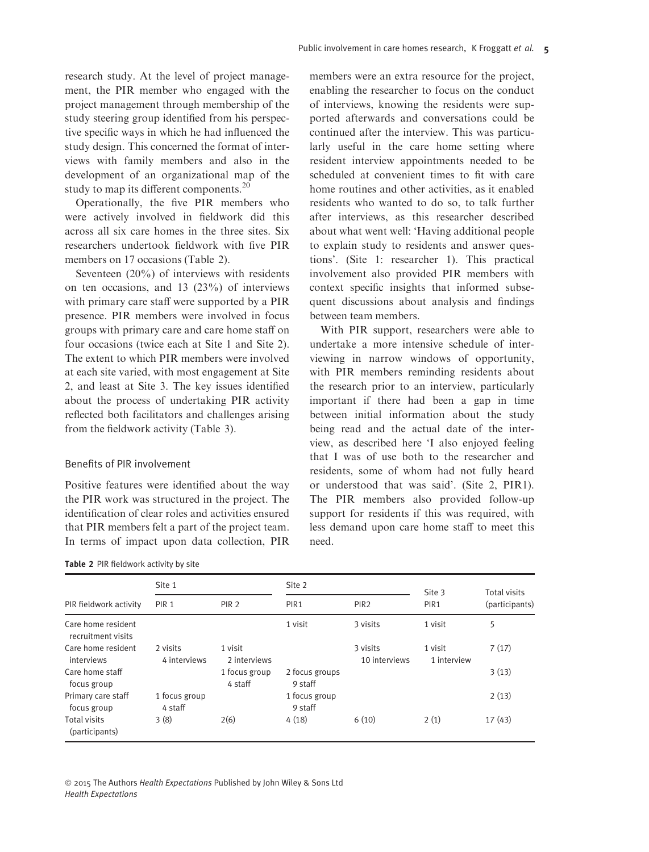research study. At the level of project management, the PIR member who engaged with the project management through membership of the study steering group identified from his perspective specific ways in which he had influenced the study design. This concerned the format of interviews with family members and also in the development of an organizational map of the study to map its different components.<sup>20</sup>

Operationally, the five PIR members who were actively involved in fieldwork did this across all six care homes in the three sites. Six researchers undertook fieldwork with five PIR members on 17 occasions (Table 2).

Seventeen (20%) of interviews with residents on ten occasions, and 13 (23%) of interviews with primary care staff were supported by a PIR presence. PIR members were involved in focus groups with primary care and care home staff on four occasions (twice each at Site 1 and Site 2). The extent to which PIR members were involved at each site varied, with most engagement at Site 2, and least at Site 3. The key issues identified about the process of undertaking PIR activity reflected both facilitators and challenges arising from the fieldwork activity (Table 3).

#### Benefits of PIR involvement

Positive features were identified about the way the PIR work was structured in the project. The identification of clear roles and activities ensured that PIR members felt a part of the project team. In terms of impact upon data collection, PIR

|  |  | Table 2 PIR fieldwork activity by site |  |  |  |
|--|--|----------------------------------------|--|--|--|
|--|--|----------------------------------------|--|--|--|

members were an extra resource for the project, enabling the researcher to focus on the conduct of interviews, knowing the residents were supported afterwards and conversations could be continued after the interview. This was particularly useful in the care home setting where resident interview appointments needed to be scheduled at convenient times to fit with care home routines and other activities, as it enabled residents who wanted to do so, to talk further after interviews, as this researcher described about what went well: 'Having additional people to explain study to residents and answer questions'. (Site 1: researcher 1). This practical involvement also provided PIR members with context specific insights that informed subsequent discussions about analysis and findings between team members.

With PIR support, researchers were able to undertake a more intensive schedule of interviewing in narrow windows of opportunity, with PIR members reminding residents about the research prior to an interview, particularly important if there had been a gap in time between initial information about the study being read and the actual date of the interview, as described here 'I also enjoyed feeling that I was of use both to the researcher and residents, some of whom had not fully heard or understood that was said'. (Site 2, PIR1). The PIR members also provided follow-up support for residents if this was required, with less demand upon care home staff to meet this need.

| PIR fieldwork activity                   | Site 1                   |                          | Site 2                    |                           | Site 3                 | <b>Total visits</b> |
|------------------------------------------|--------------------------|--------------------------|---------------------------|---------------------------|------------------------|---------------------|
|                                          | PIR <sub>1</sub>         | PIR <sub>2</sub>         | PIR <sub>1</sub>          | PIR <sub>2</sub>          | PIR <sub>1</sub>       | (participants)      |
| Care home resident<br>recruitment visits |                          |                          | 1 visit                   | 3 visits                  | 1 visit                | 5                   |
| Care home resident<br>interviews         | 2 visits<br>4 interviews | 1 visit<br>2 interviews  |                           | 3 visits<br>10 interviews | 1 visit<br>1 interview | 7(17)               |
| Care home staff<br>focus group           |                          | 1 focus group<br>4 staff | 2 focus groups<br>9 staff |                           |                        | 3(13)               |
| Primary care staff<br>focus group        | 1 focus group<br>4 staff |                          | 1 focus group<br>9 staff  |                           |                        | 2(13)               |
| <b>Total visits</b><br>(participants)    | 3(8)                     | 2(6)                     | 4(18)                     | 6(10)                     | 2(1)                   | 17(43)              |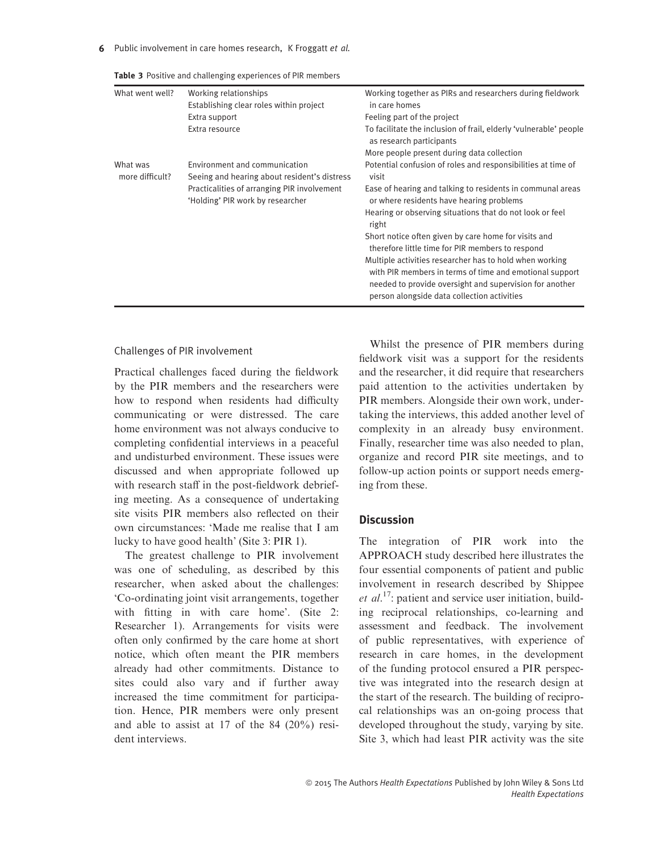6 Public involvement in care homes research, K Froggatt et al.

| What went well?             | Working relationships                                                           | Working together as PIRs and researchers during fieldwork<br>in care homes                             |
|-----------------------------|---------------------------------------------------------------------------------|--------------------------------------------------------------------------------------------------------|
|                             | Establishing clear roles within project                                         |                                                                                                        |
|                             | Extra support                                                                   | Feeling part of the project                                                                            |
|                             | Extra resource                                                                  | To facilitate the inclusion of frail, elderly 'vulnerable' people<br>as research participants          |
|                             |                                                                                 | More people present during data collection                                                             |
| What was<br>more difficult? | Environment and communication<br>Seeing and hearing about resident's distress   | Potential confusion of roles and responsibilities at time of<br>visit                                  |
|                             | Practicalities of arranging PIR involvement<br>'Holding' PIR work by researcher | Ease of hearing and talking to residents in communal areas<br>or where residents have hearing problems |
|                             |                                                                                 | Hearing or observing situations that do not look or feel<br>right                                      |
|                             |                                                                                 | Short notice often given by care home for visits and                                                   |
|                             |                                                                                 | therefore little time for PIR members to respond                                                       |
|                             |                                                                                 | Multiple activities researcher has to hold when working                                                |
|                             |                                                                                 | with PIR members in terms of time and emotional support                                                |
|                             |                                                                                 | needed to provide oversight and supervision for another                                                |
|                             |                                                                                 | person alongside data collection activities                                                            |

Table 3 Positive and challenging experiences of PIR members

#### Challenges of PIR involvement

Practical challenges faced during the fieldwork by the PIR members and the researchers were how to respond when residents had difficulty communicating or were distressed. The care home environment was not always conducive to completing confidential interviews in a peaceful and undisturbed environment. These issues were discussed and when appropriate followed up with research staff in the post-fieldwork debriefing meeting. As a consequence of undertaking site visits PIR members also reflected on their own circumstances: 'Made me realise that I am lucky to have good health' (Site 3: PIR 1).

The greatest challenge to PIR involvement was one of scheduling, as described by this researcher, when asked about the challenges: 'Co-ordinating joint visit arrangements, together with fitting in with care home'. (Site 2: Researcher 1). Arrangements for visits were often only confirmed by the care home at short notice, which often meant the PIR members already had other commitments. Distance to sites could also vary and if further away increased the time commitment for participation. Hence, PIR members were only present and able to assist at 17 of the 84 (20%) resident interviews.

Whilst the presence of PIR members during fieldwork visit was a support for the residents and the researcher, it did require that researchers paid attention to the activities undertaken by PIR members. Alongside their own work, undertaking the interviews, this added another level of complexity in an already busy environment. Finally, researcher time was also needed to plan, organize and record PIR site meetings, and to follow-up action points or support needs emerging from these.

#### **Discussion**

The integration of PIR work into the APPROACH study described here illustrates the four essential components of patient and public involvement in research described by Shippee et  $al$ <sup>17</sup>: patient and service user initiation, building reciprocal relationships, co-learning and assessment and feedback. The involvement of public representatives, with experience of research in care homes, in the development of the funding protocol ensured a PIR perspective was integrated into the research design at the start of the research. The building of reciprocal relationships was an on-going process that developed throughout the study, varying by site. Site 3, which had least PIR activity was the site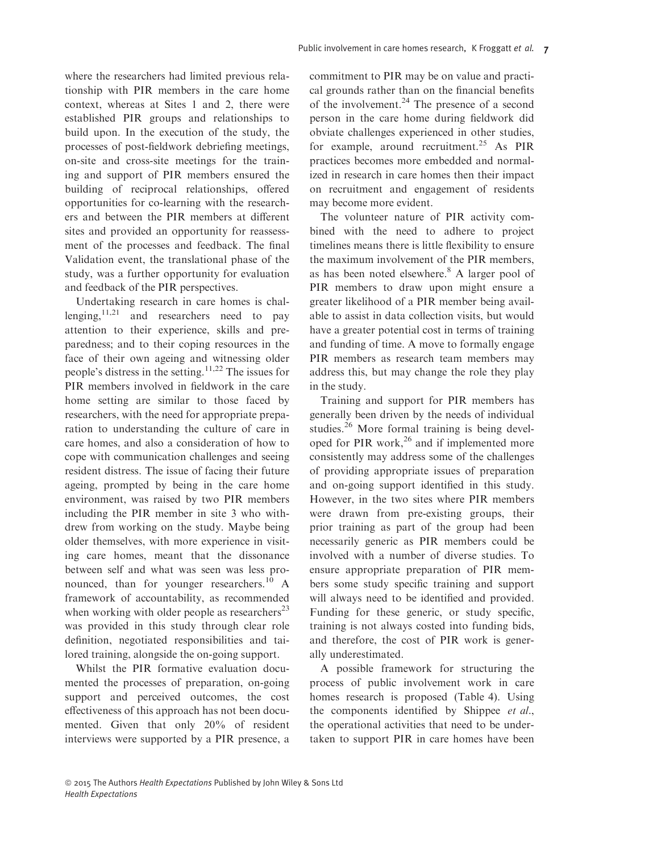where the researchers had limited previous relationship with PIR members in the care home context, whereas at Sites 1 and 2, there were established PIR groups and relationships to build upon. In the execution of the study, the processes of post-fieldwork debriefing meetings, on-site and cross-site meetings for the training and support of PIR members ensured the building of reciprocal relationships, offered opportunities for co-learning with the researchers and between the PIR members at different sites and provided an opportunity for reassessment of the processes and feedback. The final Validation event, the translational phase of the study, was a further opportunity for evaluation and feedback of the PIR perspectives.

Undertaking research in care homes is challenging, $11,21$  and researchers need to pay attention to their experience, skills and preparedness; and to their coping resources in the face of their own ageing and witnessing older people's distress in the setting.<sup>11,22</sup> The issues for PIR members involved in fieldwork in the care home setting are similar to those faced by researchers, with the need for appropriate preparation to understanding the culture of care in care homes, and also a consideration of how to cope with communication challenges and seeing resident distress. The issue of facing their future ageing, prompted by being in the care home environment, was raised by two PIR members including the PIR member in site 3 who withdrew from working on the study. Maybe being older themselves, with more experience in visiting care homes, meant that the dissonance between self and what was seen was less pronounced, than for younger researchers.<sup>10</sup> A framework of accountability, as recommended when working with older people as researchers<sup>23</sup> was provided in this study through clear role definition, negotiated responsibilities and tailored training, alongside the on-going support.

Whilst the PIR formative evaluation documented the processes of preparation, on-going support and perceived outcomes, the cost effectiveness of this approach has not been documented. Given that only 20% of resident interviews were supported by a PIR presence, a

commitment to PIR may be on value and practical grounds rather than on the financial benefits of the involvement.<sup>24</sup> The presence of a second person in the care home during fieldwork did obviate challenges experienced in other studies, for example, around recruitment.<sup>25</sup> As PIR practices becomes more embedded and normalized in research in care homes then their impact on recruitment and engagement of residents may become more evident.

The volunteer nature of PIR activity combined with the need to adhere to project timelines means there is little flexibility to ensure the maximum involvement of the PIR members, as has been noted elsewhere.<sup>8</sup> A larger pool of PIR members to draw upon might ensure a greater likelihood of a PIR member being available to assist in data collection visits, but would have a greater potential cost in terms of training and funding of time. A move to formally engage PIR members as research team members may address this, but may change the role they play in the study.

Training and support for PIR members has generally been driven by the needs of individual studies.<sup>26</sup> More formal training is being developed for PIR work,<sup>26</sup> and if implemented more consistently may address some of the challenges of providing appropriate issues of preparation and on-going support identified in this study. However, in the two sites where PIR members were drawn from pre-existing groups, their prior training as part of the group had been necessarily generic as PIR members could be involved with a number of diverse studies. To ensure appropriate preparation of PIR members some study specific training and support will always need to be identified and provided. Funding for these generic, or study specific, training is not always costed into funding bids, and therefore, the cost of PIR work is generally underestimated.

A possible framework for structuring the process of public involvement work in care homes research is proposed (Table 4). Using the components identified by Shippee et al., the operational activities that need to be undertaken to support PIR in care homes have been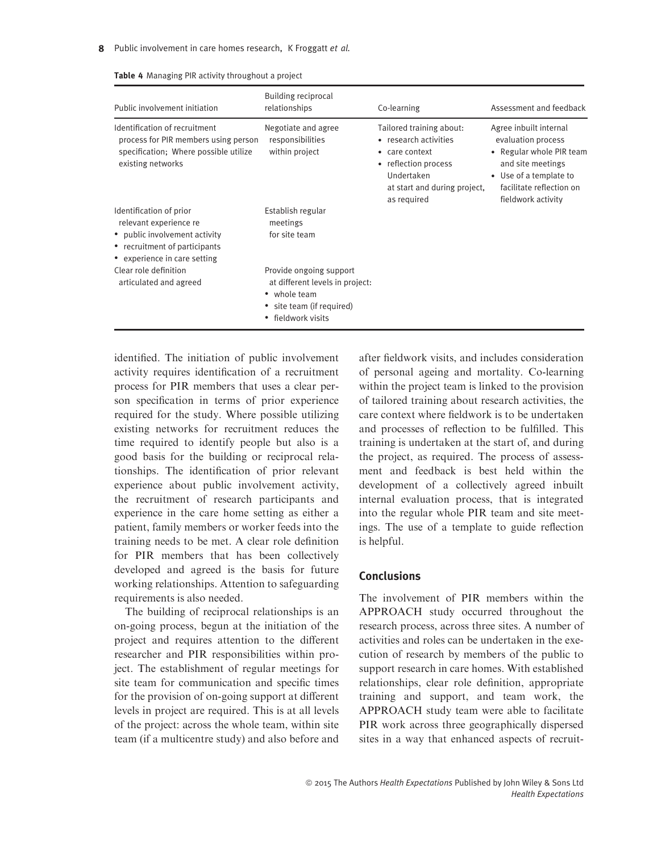| Public involvement initiation                                                                                                                       | Building reciprocal<br>relationships                                                                                        | Co-learning                                                                                                                                              | Assessment and feedback                                                                                                                                                   |
|-----------------------------------------------------------------------------------------------------------------------------------------------------|-----------------------------------------------------------------------------------------------------------------------------|----------------------------------------------------------------------------------------------------------------------------------------------------------|---------------------------------------------------------------------------------------------------------------------------------------------------------------------------|
| Identification of recruitment<br>process for PIR members using person<br>specification; Where possible utilize<br>existing networks                 | Negotiate and agree<br>responsibilities<br>within project                                                                   | Tailored training about:<br>• research activities<br>• care context<br>• reflection process<br>Undertaken<br>at start and during project,<br>as required | Agree inbuilt internal<br>evaluation process<br>• Regular whole PIR team<br>and site meetings<br>• Use of a template to<br>facilitate reflection on<br>fieldwork activity |
| Identification of prior<br>relevant experience re<br>• public involvement activity<br>• recruitment of participants<br>• experience in care setting | Establish regular<br>meetings<br>for site team                                                                              |                                                                                                                                                          |                                                                                                                                                                           |
| Clear role definition<br>articulated and agreed                                                                                                     | Provide ongoing support<br>at different levels in project:<br>• whole team<br>• site team (if required)<br>fieldwork visits |                                                                                                                                                          |                                                                                                                                                                           |

|  |  |  |  | <b>Table 4</b> Managing PIR activity throughout a project |  |
|--|--|--|--|-----------------------------------------------------------|--|
|--|--|--|--|-----------------------------------------------------------|--|

identified. The initiation of public involvement activity requires identification of a recruitment process for PIR members that uses a clear person specification in terms of prior experience required for the study. Where possible utilizing existing networks for recruitment reduces the time required to identify people but also is a good basis for the building or reciprocal relationships. The identification of prior relevant experience about public involvement activity, the recruitment of research participants and experience in the care home setting as either a patient, family members or worker feeds into the training needs to be met. A clear role definition for PIR members that has been collectively developed and agreed is the basis for future working relationships. Attention to safeguarding requirements is also needed.

The building of reciprocal relationships is an on-going process, begun at the initiation of the project and requires attention to the different researcher and PIR responsibilities within project. The establishment of regular meetings for site team for communication and specific times for the provision of on-going support at different levels in project are required. This is at all levels of the project: across the whole team, within site team (if a multicentre study) and also before and after fieldwork visits, and includes consideration of personal ageing and mortality. Co-learning within the project team is linked to the provision of tailored training about research activities, the care context where fieldwork is to be undertaken and processes of reflection to be fulfilled. This training is undertaken at the start of, and during the project, as required. The process of assessment and feedback is best held within the development of a collectively agreed inbuilt internal evaluation process, that is integrated into the regular whole PIR team and site meetings. The use of a template to guide reflection is helpful.

#### Conclusions

The involvement of PIR members within the APPROACH study occurred throughout the research process, across three sites. A number of activities and roles can be undertaken in the execution of research by members of the public to support research in care homes. With established relationships, clear role definition, appropriate training and support, and team work, the APPROACH study team were able to facilitate PIR work across three geographically dispersed sites in a way that enhanced aspects of recruit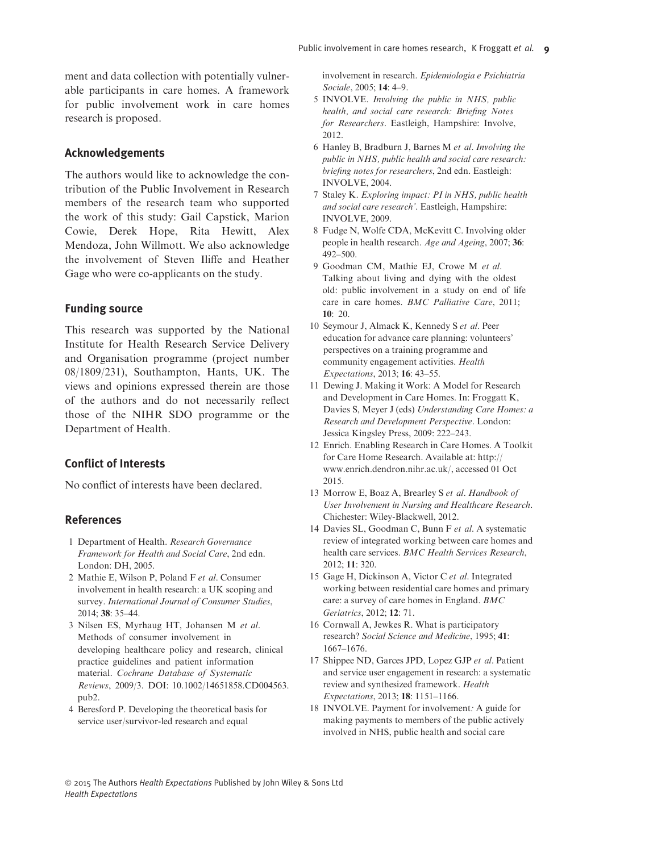ment and data collection with potentially vulnerable participants in care homes. A framework for public involvement work in care homes research is proposed.

#### Acknowledgements

The authors would like to acknowledge the contribution of the Public Involvement in Research members of the research team who supported the work of this study: Gail Capstick, Marion Cowie, Derek Hope, Rita Hewitt, Alex Mendoza, John Willmott. We also acknowledge the involvement of Steven Iliffe and Heather Gage who were co-applicants on the study.

# Funding source

This research was supported by the National Institute for Health Research Service Delivery and Organisation programme (project number 08/1809/231), Southampton, Hants, UK. The views and opinions expressed therein are those of the authors and do not necessarily reflect those of the NIHR SDO programme or the Department of Health.

# Conflict of Interests

No conflict of interests have been declared.

### References

- 1 Department of Health. Research Governance Framework for Health and Social Care, 2nd edn. London: DH, 2005.
- 2 Mathie E, Wilson P, Poland F et al. Consumer involvement in health research: a UK scoping and survey. International Journal of Consumer Studies, 2014; 38: 35–44.
- 3 Nilsen ES, Myrhaug HT, Johansen M et al. Methods of consumer involvement in developing healthcare policy and research, clinical practice guidelines and patient information material. Cochrane Database of Systematic Reviews, 2009/3. DOI: [10.1002/14651858.CD004563.](http://dx.doi.org/10.1002/14651858.CD004563.pub2) [pub2.](http://dx.doi.org/10.1002/14651858.CD004563.pub2)
- 4 Beresford P. Developing the theoretical basis for service user/survivor-led research and equal

involvement in research. Epidemiologia e Psichiatria Sociale, 2005; 14: 4–9.

- 5 INVOLVE. Involving the public in NHS, public health, and social care research: Briefing Notes for Researchers. Eastleigh, Hampshire: Involve, 2012.
- 6 Hanley B, Bradburn J, Barnes M et al. Involving the public in NHS, public health and social care research: briefing notes for researchers, 2nd edn. Eastleigh: INVOLVE, 2004.
- 7 Staley K. Exploring impact: PI in NHS, public health and social care research'. Eastleigh, Hampshire: INVOLVE, 2009.
- 8 Fudge N, Wolfe CDA, McKevitt C. Involving older people in health research. Age and Ageing, 2007; 36: 492–500.
- 9 Goodman CM, Mathie EJ, Crowe M et al. Talking about living and dying with the oldest old: public involvement in a study on end of life care in care homes. BMC Palliative Care, 2011; 10: 20.
- 10 Seymour J, Almack K, Kennedy S et al. Peer education for advance care planning: volunteers' perspectives on a training programme and community engagement activities. Health Expectations, 2013; 16: 43–55.
- 11 Dewing J. Making it Work: A Model for Research and Development in Care Homes. In: Froggatt K, Davies S, Meyer J (eds) Understanding Care Homes: a Research and Development Perspective. London: Jessica Kingsley Press, 2009: 222–243.
- 12 Enrich. Enabling Research in Care Homes. A Toolkit for Care Home Research. Available at: [http://](http://www.enrich.dendron.nihr.ac.uk/) [www.enrich.dendron.nihr.ac.uk/](http://www.enrich.dendron.nihr.ac.uk/), accessed 01 Oct 2015.
- 13 Morrow E, Boaz A, Brearley S et al. Handbook of User Involvement in Nursing and Healthcare Research. Chichester: Wiley-Blackwell, 2012.
- 14 Davies SL, Goodman C, Bunn F et al. A systematic review of integrated working between care homes and health care services. BMC Health Services Research, 2012; 11: 320.
- 15 Gage H, Dickinson A, Victor C et al. Integrated working between residential care homes and primary care: a survey of care homes in England. BMC Geriatrics, 2012; 12: 71.
- 16 Cornwall A, Jewkes R. What is participatory research? Social Science and Medicine, 1995; 41: 1667–1676.
- 17 Shippee ND, Garces JPD, Lopez GJP et al. Patient and service user engagement in research: a systematic review and synthesized framework. Health Expectations, 2013; 18: 1151–1166.
- 18 INVOLVE. Payment for involvement: A guide for making payments to members of the public actively involved in NHS, public health and social care